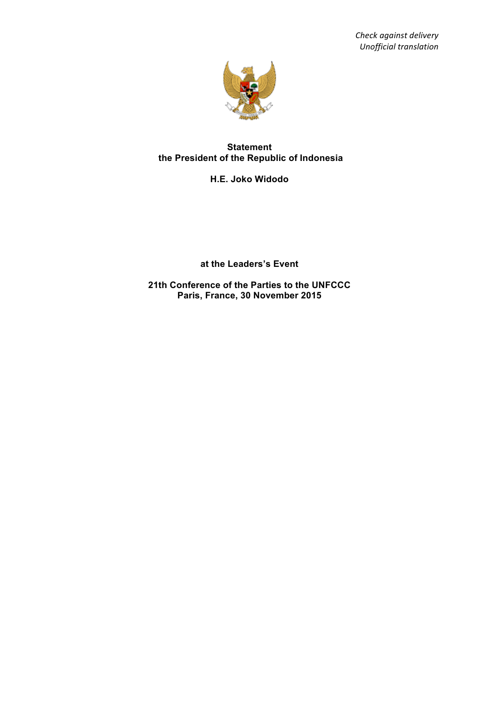*Check against delivery Unofficial translation*



## **Statement the President of the Republic of Indonesia**

**H.E. Joko Widodo**

**at the Leaders's Event**

**21th Conference of the Parties to the UNFCCC Paris, France, 30 November 2015**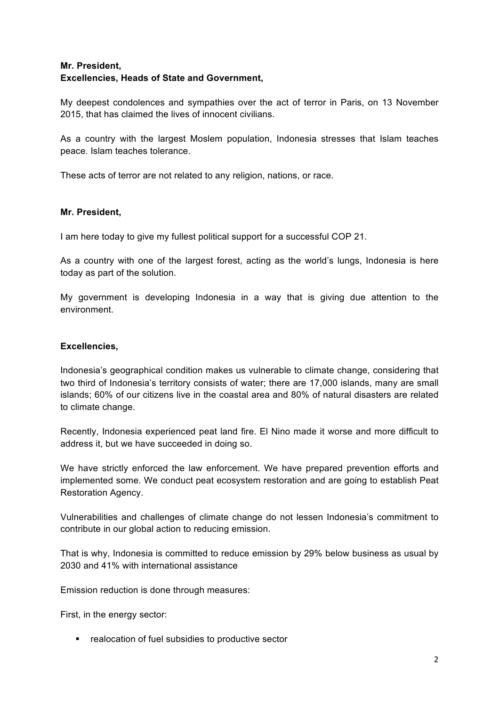# **Mr. President,**

# **Excellencies, Heads of State and Government,**

My deepest condolences and sympathies over the act of terror in Paris, on 13 November 2015, that has claimed the lives of innocent civilians.

As a country with the largest Moslem population, Indonesia stresses that Islam teaches peace. Islam teaches tolerance.

These acts of terror are not related to any religion, nations, or race.

#### **Mr. President,**

I am here today to give my fullest political support for a successful COP 21.

As a country with one of the largest forest, acting as the world's lungs, Indonesia is here today as part of the solution.

My government is developing Indonesia in a way that is giving due attention to the environment.

#### **Excellencies,**

Indonesia's geographical condition makes us vulnerable to climate change, considering that two third of Indonesia's territory consists of water; there are 17,000 islands, many are small islands; 60% of our citizens live in the coastal area and 80% of natural disasters are related to climate change.

Recently, Indonesia experienced peat land fire. El Nino made it worse and more difficult to address it, but we have succeeded in doing so.

We have strictly enforced the law enforcement. We have prepared prevention efforts and implemented some. We conduct peat ecosystem restoration and are going to establish Peat Restoration Agency.

Vulnerabilities and challenges of climate change do not lessen Indonesia's commitment to contribute in our global action to reducing emission.

That is why, Indonesia is committed to reduce emission by 29% below business as usual by 2030 and 41% with international assistance

Emission reduction is done through measures:

First, in the energy sector:

■ realocation of fuel subsidies to productive sector